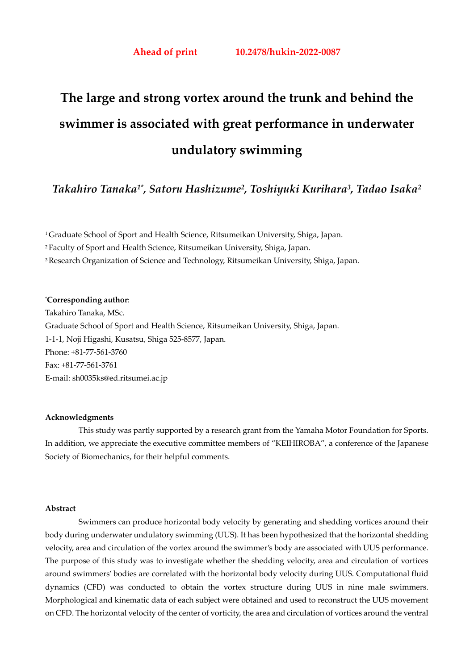# **The large and strong vortex around the trunk and behind the swimmer is associated with great performance in underwater undulatory swimming**

# *Takahiro Tanaka1\*, Satoru Hashizume2, Toshiyuki Kurihara3, Tadao Isaka2*

1 Graduate School of Sport and Health Science, Ritsumeikan University, Shiga, Japan.

2 Faculty of Sport and Health Science, Ritsumeikan University, Shiga, Japan.

3 Research Organization of Science and Technology, Ritsumeikan University, Shiga, Japan.

#### \* **Corresponding author**:

Takahiro Tanaka, MSc. Graduate School of Sport and Health Science, Ritsumeikan University, Shiga, Japan. 1-1-1, Noji Higashi, Kusatsu, Shiga 525-8577, Japan. Phone: +81-77-561-3760 Fax: +81-77-561-3761 E-mail: sh0035ks@ed.ritsumei.ac.jp

#### **Acknowledgments**

 This study was partly supported by a research grant from the Yamaha Motor Foundation for Sports. In addition, we appreciate the executive committee members of "KEIHIROBA", a conference of the Japanese Society of Biomechanics, for their helpful comments.

#### **Abstract**

Swimmers can produce horizontal body velocity by generating and shedding vortices around their body during underwater undulatory swimming (UUS). It has been hypothesized that the horizontal shedding velocity, area and circulation of the vortex around the swimmer's body are associated with UUS performance. The purpose of this study was to investigate whether the shedding velocity, area and circulation of vortices around swimmers' bodies are correlated with the horizontal body velocity during UUS. Computational fluid dynamics (CFD) was conducted to obtain the vortex structure during UUS in nine male swimmers. Morphological and kinematic data of each subject were obtained and used to reconstruct the UUS movement on CFD. The horizontal velocity of the center of vorticity, the area and circulation of vortices around the ventral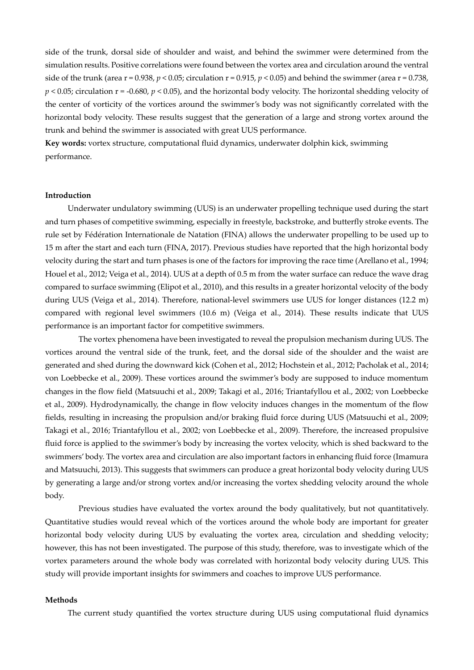side of the trunk, dorsal side of shoulder and waist, and behind the swimmer were determined from the simulation results. Positive correlations were found between the vortex area and circulation around the ventral side of the trunk (area  $r = 0.938$ ,  $p < 0.05$ ; circulation  $r = 0.915$ ,  $p < 0.05$ ) and behind the swimmer (area  $r = 0.738$ , *p* < 0.05; circulation r = -0.680, *p* < 0.05), and the horizontal body velocity. The horizontal shedding velocity of the center of vorticity of the vortices around the swimmer's body was not significantly correlated with the horizontal body velocity. These results suggest that the generation of a large and strong vortex around the trunk and behind the swimmer is associated with great UUS performance.

**Key words:** vortex structure, computational fluid dynamics, underwater dolphin kick, swimming performance.

#### **Introduction**

Underwater undulatory swimming (UUS) is an underwater propelling technique used during the start and turn phases of competitive swimming, especially in freestyle, backstroke, and butterfly stroke events. The rule set by Fédération Internationale de Natation (FINA) allows the underwater propelling to be used up to 15 m after the start and each turn (FINA, 2017). Previous studies have reported that the high horizontal body velocity during the start and turn phases is one of the factors for improving the race time (Arellano et al., 1994; Houel et al., 2012; Veiga et al., 2014). UUS at a depth of 0.5 m from the water surface can reduce the wave drag compared to surface swimming (Elipot et al., 2010), and this results in a greater horizontal velocity of the body during UUS (Veiga et al., 2014). Therefore, national-level swimmers use UUS for longer distances (12.2 m) compared with regional level swimmers (10.6 m) (Veiga et al., 2014). These results indicate that UUS performance is an important factor for competitive swimmers.

The vortex phenomena have been investigated to reveal the propulsion mechanism during UUS. The vortices around the ventral side of the trunk, feet, and the dorsal side of the shoulder and the waist are generated and shed during the downward kick (Cohen et al., 2012; Hochstein et al., 2012; Pacholak et al., 2014; von Loebbecke et al., 2009). These vortices around the swimmer's body are supposed to induce momentum changes in the flow field (Matsuuchi et al., 2009; Takagi et al., 2016; Triantafyllou et al., 2002; von Loebbecke et al., 2009). Hydrodynamically, the change in flow velocity induces changes in the momentum of the flow fields, resulting in increasing the propulsion and/or braking fluid force during UUS (Matsuuchi et al., 2009; Takagi et al., 2016; Triantafyllou et al., 2002; von Loebbecke et al., 2009). Therefore, the increased propulsive fluid force is applied to the swimmer's body by increasing the vortex velocity, which is shed backward to the swimmers' body. The vortex area and circulation are also important factors in enhancing fluid force (Imamura and Matsuuchi, 2013). This suggests that swimmers can produce a great horizontal body velocity during UUS by generating a large and/or strong vortex and/or increasing the vortex shedding velocity around the whole body.

Previous studies have evaluated the vortex around the body qualitatively, but not quantitatively. Quantitative studies would reveal which of the vortices around the whole body are important for greater horizontal body velocity during UUS by evaluating the vortex area, circulation and shedding velocity; however, this has not been investigated. The purpose of this study, therefore, was to investigate which of the vortex parameters around the whole body was correlated with horizontal body velocity during UUS. This study will provide important insights for swimmers and coaches to improve UUS performance.

#### **Methods**

The current study quantified the vortex structure during UUS using computational fluid dynamics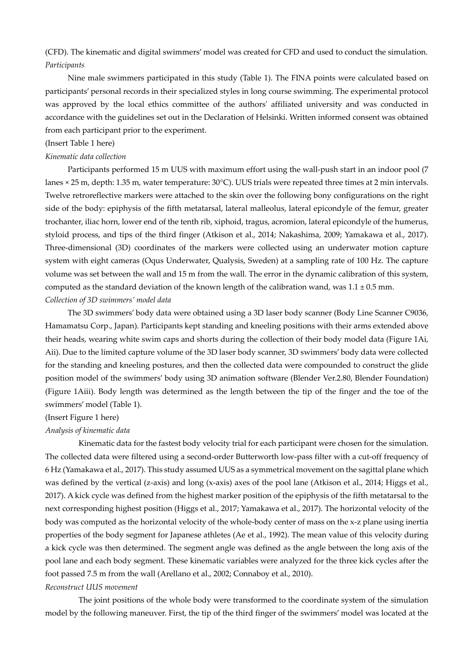# (CFD). The kinematic and digital swimmers' model was created for CFD and used to conduct the simulation. *Participants*

Nine male swimmers participated in this study (Table 1). The FINA points were calculated based on participants' personal records in their specialized styles in long course swimming. The experimental protocol was approved by the local ethics committee of the authors' affiliated university and was conducted in accordance with the guidelines set out in the Declaration of Helsinki. Written informed consent was obtained from each participant prior to the experiment.

#### (Insert Table 1 here)

#### *Kinematic data collection*

Participants performed 15 m UUS with maximum effort using the wall-push start in an indoor pool (7 lanes × 25 m, depth: 1.35 m, water temperature: 30°C). UUS trials were repeated three times at 2 min intervals. Twelve retroreflective markers were attached to the skin over the following bony configurations on the right side of the body: epiphysis of the fifth metatarsal, lateral malleolus, lateral epicondyle of the femur, greater trochanter, iliac horn, lower end of the tenth rib, xiphoid, tragus, acromion, lateral epicondyle of the humerus, styloid process, and tips of the third finger (Atkison et al., 2014; Nakashima, 2009; Yamakawa et al., 2017). Three-dimensional (3D) coordinates of the markers were collected using an underwater motion capture system with eight cameras (Oqus Underwater, Qualysis, Sweden) at a sampling rate of 100 Hz. The capture volume was set between the wall and 15 m from the wall. The error in the dynamic calibration of this system, computed as the standard deviation of the known length of the calibration wand, was  $1.1 \pm 0.5$  mm. *Collection of 3D swimmers' model data* 

The 3D swimmers' body data were obtained using a 3D laser body scanner (Body Line Scanner C9036, Hamamatsu Corp., Japan). Participants kept standing and kneeling positions with their arms extended above their heads, wearing white swim caps and shorts during the collection of their body model data (Figure 1Ai, Aii). Due to the limited capture volume of the 3D laser body scanner, 3D swimmers' body data were collected for the standing and kneeling postures, and then the collected data were compounded to construct the glide position model of the swimmers' body using 3D animation software (Blender Ver.2.80, Blender Foundation) (Figure 1Aiii). Body length was determined as the length between the tip of the finger and the toe of the swimmers' model (Table 1).

#### (Insert Figure 1 here)

#### *Analysis of kinematic data*

Kinematic data for the fastest body velocity trial for each participant were chosen for the simulation. The collected data were filtered using a second-order Butterworth low-pass filter with a cut-off frequency of 6 Hz (Yamakawa et al., 2017). This study assumed UUS as a symmetrical movement on the sagittal plane which was defined by the vertical (z-axis) and long (x-axis) axes of the pool lane (Atkison et al., 2014; Higgs et al., 2017). A kick cycle was defined from the highest marker position of the epiphysis of the fifth metatarsal to the next corresponding highest position (Higgs et al., 2017; Yamakawa et al., 2017). The horizontal velocity of the body was computed as the horizontal velocity of the whole-body center of mass on the x-z plane using inertia properties of the body segment for Japanese athletes (Ae et al., 1992). The mean value of this velocity during a kick cycle was then determined. The segment angle was defined as the angle between the long axis of the pool lane and each body segment. These kinematic variables were analyzed for the three kick cycles after the foot passed 7.5 m from the wall (Arellano et al., 2002; Connaboy et al., 2010).

#### *Reconstruct UUS movement*

The joint positions of the whole body were transformed to the coordinate system of the simulation model by the following maneuver. First, the tip of the third finger of the swimmers' model was located at the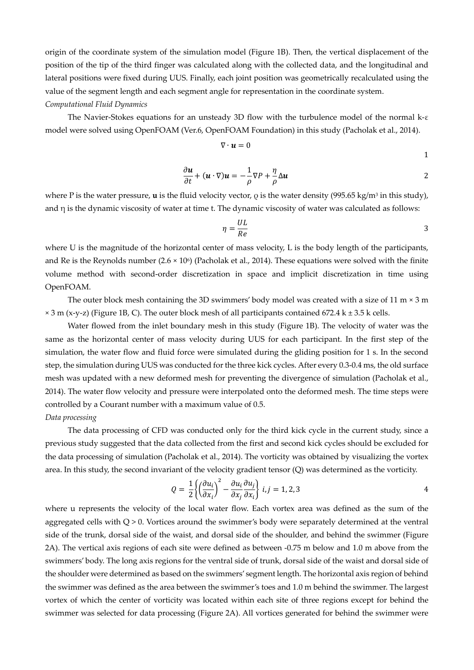origin of the coordinate system of the simulation model (Figure 1B). Then, the vertical displacement of the position of the tip of the third finger was calculated along with the collected data, and the longitudinal and lateral positions were fixed during UUS. Finally, each joint position was geometrically recalculated using the value of the segment length and each segment angle for representation in the coordinate system. *Computational Fluid Dynamics* 

The Navier-Stokes equations for an unsteady 3D flow with the turbulence model of the normal k-ε model were solved using OpenFOAM (Ver.6, OpenFOAM Foundation) in this study (Pacholak et al., 2014).

$$
\nabla \cdot \boldsymbol{u} = 0 \tag{1}
$$

$$
\frac{\partial \boldsymbol{u}}{\partial t} + (\boldsymbol{u} \cdot \nabla) \boldsymbol{u} = -\frac{1}{\rho} \nabla P + \frac{\eta}{\rho} \Delta \boldsymbol{u}
$$

where P is the water pressure, **u** is the fluid velocity vector, ρ is the water density (995.65 kg/m3 in this study), and  $\eta$  is the dynamic viscosity of water at time t. The dynamic viscosity of water was calculated as follows:

$$
\eta = \frac{UL}{Re}
$$

where U is the magnitude of the horizontal center of mass velocity, L is the body length of the participants, and Re is the Reynolds number  $(2.6 \times 10^6)$  (Pacholak et al., 2014). These equations were solved with the finite volume method with second-order discretization in space and implicit discretization in time using OpenFOAM.

The outer block mesh containing the 3D swimmers' body model was created with a size of 11 m × 3 m  $\times$  3 m (x-y-z) (Figure 1B, C). The outer block mesh of all participants contained 672.4 k  $\pm$  3.5 k cells.

Water flowed from the inlet boundary mesh in this study (Figure 1B). The velocity of water was the same as the horizontal center of mass velocity during UUS for each participant. In the first step of the simulation, the water flow and fluid force were simulated during the gliding position for 1 s. In the second step, the simulation during UUS was conducted for the three kick cycles. After every 0.3-0.4 ms, the old surface mesh was updated with a new deformed mesh for preventing the divergence of simulation (Pacholak et al., 2014). The water flow velocity and pressure were interpolated onto the deformed mesh. The time steps were controlled by a Courant number with a maximum value of 0.5.

# *Data processing*

The data processing of CFD was conducted only for the third kick cycle in the current study, since a previous study suggested that the data collected from the first and second kick cycles should be excluded for the data processing of simulation (Pacholak et al., 2014). The vorticity was obtained by visualizing the vortex area. In this study, the second invariant of the velocity gradient tensor (Q) was determined as the vorticity.

$$
Q = \frac{1}{2} \left\{ \left( \frac{\partial u_i}{\partial x_i} \right)^2 - \frac{\partial u_i}{\partial x_j} \frac{\partial u_j}{\partial x_i} \right\} \ i, j = 1, 2, 3
$$

where u represents the velocity of the local water flow. Each vortex area was defined as the sum of the aggregated cells with  $Q > 0$ . Vortices around the swimmer's body were separately determined at the ventral side of the trunk, dorsal side of the waist, and dorsal side of the shoulder, and behind the swimmer (Figure 2A). The vertical axis regions of each site were defined as between -0.75 m below and 1.0 m above from the swimmers' body. The long axis regions for the ventral side of trunk, dorsal side of the waist and dorsal side of the shoulder were determined as based on the swimmers' segment length. The horizontal axis region of behind the swimmer was defined as the area between the swimmer's toes and 1.0 m behind the swimmer. The largest vortex of which the center of vorticity was located within each site of three regions except for behind the swimmer was selected for data processing (Figure 2A). All vortices generated for behind the swimmer were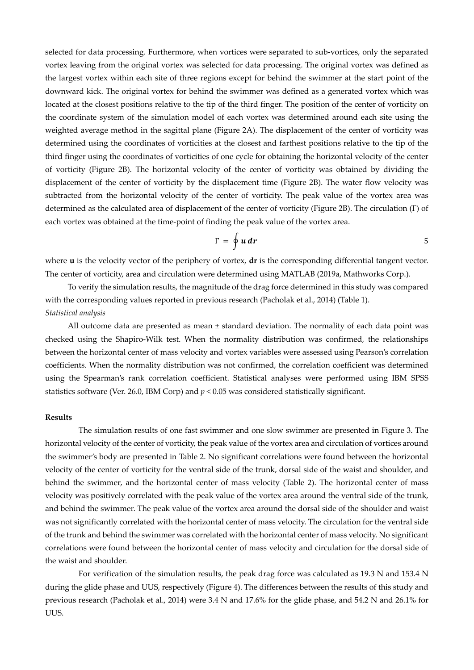selected for data processing. Furthermore, when vortices were separated to sub-vortices, only the separated vortex leaving from the original vortex was selected for data processing. The original vortex was defined as the largest vortex within each site of three regions except for behind the swimmer at the start point of the downward kick. The original vortex for behind the swimmer was defined as a generated vortex which was located at the closest positions relative to the tip of the third finger. The position of the center of vorticity on the coordinate system of the simulation model of each vortex was determined around each site using the weighted average method in the sagittal plane (Figure 2A). The displacement of the center of vorticity was determined using the coordinates of vorticities at the closest and farthest positions relative to the tip of the third finger using the coordinates of vorticities of one cycle for obtaining the horizontal velocity of the center of vorticity (Figure 2B). The horizontal velocity of the center of vorticity was obtained by dividing the displacement of the center of vorticity by the displacement time (Figure 2B). The water flow velocity was subtracted from the horizontal velocity of the center of vorticity. The peak value of the vortex area was determined as the calculated area of displacement of the center of vorticity (Figure 2B). The circulation (Γ) of each vortex was obtained at the time-point of finding the peak value of the vortex area.

$$
\Gamma = \oint u \, dr \tag{5}
$$

where **u** is the velocity vector of the periphery of vortex, **dr** is the corresponding differential tangent vector. The center of vorticity, area and circulation were determined using MATLAB (2019a, Mathworks Corp.).

To verify the simulation results, the magnitude of the drag force determined in this study was compared with the corresponding values reported in previous research (Pacholak et al., 2014) (Table 1). *Statistical analysis* 

All outcome data are presented as mean ± standard deviation. The normality of each data point was checked using the Shapiro-Wilk test. When the normality distribution was confirmed, the relationships between the horizontal center of mass velocity and vortex variables were assessed using Pearson's correlation coefficients. When the normality distribution was not confirmed, the correlation coefficient was determined using the Spearman's rank correlation coefficient. Statistical analyses were performed using IBM SPSS statistics software (Ver. 26.0, IBM Corp) and  $p < 0.05$  was considered statistically significant.

#### **Results**

The simulation results of one fast swimmer and one slow swimmer are presented in Figure 3. The horizontal velocity of the center of vorticity, the peak value of the vortex area and circulation of vortices around the swimmer's body are presented in Table 2. No significant correlations were found between the horizontal velocity of the center of vorticity for the ventral side of the trunk, dorsal side of the waist and shoulder, and behind the swimmer, and the horizontal center of mass velocity (Table 2). The horizontal center of mass velocity was positively correlated with the peak value of the vortex area around the ventral side of the trunk, and behind the swimmer. The peak value of the vortex area around the dorsal side of the shoulder and waist was not significantly correlated with the horizontal center of mass velocity. The circulation for the ventral side of the trunk and behind the swimmer was correlated with the horizontal center of mass velocity. No significant correlations were found between the horizontal center of mass velocity and circulation for the dorsal side of the waist and shoulder.

For verification of the simulation results, the peak drag force was calculated as 19.3 N and 153.4 N during the glide phase and UUS, respectively (Figure 4). The differences between the results of this study and previous research (Pacholak et al., 2014) were 3.4 N and 17.6% for the glide phase, and 54.2 N and 26.1% for UUS.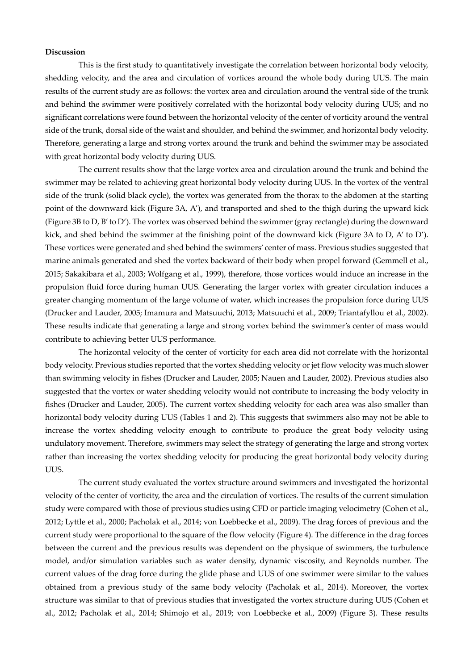#### **Discussion**

This is the first study to quantitatively investigate the correlation between horizontal body velocity, shedding velocity, and the area and circulation of vortices around the whole body during UUS. The main results of the current study are as follows: the vortex area and circulation around the ventral side of the trunk and behind the swimmer were positively correlated with the horizontal body velocity during UUS; and no significant correlations were found between the horizontal velocity of the center of vorticity around the ventral side of the trunk, dorsal side of the waist and shoulder, and behind the swimmer, and horizontal body velocity. Therefore, generating a large and strong vortex around the trunk and behind the swimmer may be associated with great horizontal body velocity during UUS.

The current results show that the large vortex area and circulation around the trunk and behind the swimmer may be related to achieving great horizontal body velocity during UUS. In the vortex of the ventral side of the trunk (solid black cycle), the vortex was generated from the thorax to the abdomen at the starting point of the downward kick (Figure 3A, A'), and transported and shed to the thigh during the upward kick (Figure 3B to D, B' to D'). The vortex was observed behind the swimmer (gray rectangle) during the downward kick, and shed behind the swimmer at the finishing point of the downward kick (Figure 3A to D, A' to D'). These vortices were generated and shed behind the swimmers' center of mass. Previous studies suggested that marine animals generated and shed the vortex backward of their body when propel forward (Gemmell et al., 2015; Sakakibara et al., 2003; Wolfgang et al., 1999), therefore, those vortices would induce an increase in the propulsion fluid force during human UUS. Generating the larger vortex with greater circulation induces a greater changing momentum of the large volume of water, which increases the propulsion force during UUS (Drucker and Lauder, 2005; Imamura and Matsuuchi, 2013; Matsuuchi et al., 2009; Triantafyllou et al., 2002). These results indicate that generating a large and strong vortex behind the swimmer's center of mass would contribute to achieving better UUS performance.

The horizontal velocity of the center of vorticity for each area did not correlate with the horizontal body velocity. Previous studies reported that the vortex shedding velocity or jet flow velocity was much slower than swimming velocity in fishes (Drucker and Lauder, 2005; Nauen and Lauder, 2002). Previous studies also suggested that the vortex or water shedding velocity would not contribute to increasing the body velocity in fishes (Drucker and Lauder, 2005). The current vortex shedding velocity for each area was also smaller than horizontal body velocity during UUS (Tables 1 and 2). This suggests that swimmers also may not be able to increase the vortex shedding velocity enough to contribute to produce the great body velocity using undulatory movement. Therefore, swimmers may select the strategy of generating the large and strong vortex rather than increasing the vortex shedding velocity for producing the great horizontal body velocity during UUS.

The current study evaluated the vortex structure around swimmers and investigated the horizontal velocity of the center of vorticity, the area and the circulation of vortices. The results of the current simulation study were compared with those of previous studies using CFD or particle imaging velocimetry (Cohen et al., 2012; Lyttle et al., 2000; Pacholak et al., 2014; von Loebbecke et al., 2009). The drag forces of previous and the current study were proportional to the square of the flow velocity (Figure 4). The difference in the drag forces between the current and the previous results was dependent on the physique of swimmers, the turbulence model, and/or simulation variables such as water density, dynamic viscosity, and Reynolds number. The current values of the drag force during the glide phase and UUS of one swimmer were similar to the values obtained from a previous study of the same body velocity (Pacholak et al., 2014). Moreover, the vortex structure was similar to that of previous studies that investigated the vortex structure during UUS (Cohen et al., 2012; Pacholak et al., 2014; Shimojo et al., 2019; von Loebbecke et al., 2009) (Figure 3). These results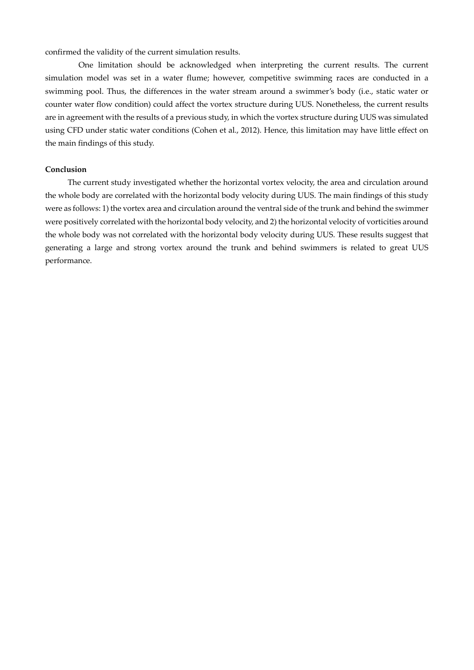confirmed the validity of the current simulation results.

One limitation should be acknowledged when interpreting the current results. The current simulation model was set in a water flume; however, competitive swimming races are conducted in a swimming pool. Thus, the differences in the water stream around a swimmer's body (i.e., static water or counter water flow condition) could affect the vortex structure during UUS. Nonetheless, the current results are in agreement with the results of a previous study, in which the vortex structure during UUS was simulated using CFD under static water conditions (Cohen et al., 2012). Hence, this limitation may have little effect on the main findings of this study.

#### **Conclusion**

The current study investigated whether the horizontal vortex velocity, the area and circulation around the whole body are correlated with the horizontal body velocity during UUS. The main findings of this study were as follows: 1) the vortex area and circulation around the ventral side of the trunk and behind the swimmer were positively correlated with the horizontal body velocity, and 2) the horizontal velocity of vorticities around the whole body was not correlated with the horizontal body velocity during UUS. These results suggest that generating a large and strong vortex around the trunk and behind swimmers is related to great UUS performance.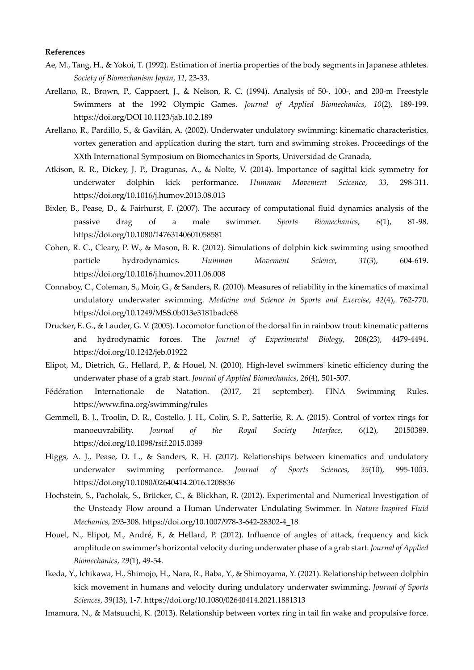#### **References**

- Ae, M., Tang, H., & Yokoi, T. (1992). Estimation of inertia properties of the body segments in Japanese athletes. *Society of Biomechanism Japan*, *11*, 23-33.
- Arellano, R., Brown, P., Cappaert, J., & Nelson, R. C. (1994). Analysis of 50-, 100-, and 200-m Freestyle Swimmers at the 1992 Olympic Games. *Journal of Applied Biomechanics*, *10*(2), 189-199. https://doi.org/DOI 10.1123/jab.10.2.189
- Arellano, R., Pardillo, S., & Gavilán, A. (2002). Underwater undulatory swimming: kinematic characteristics, vortex generation and application during the start, turn and swimming strokes. Proceedings of the XXth International Symposium on Biomechanics in Sports, Universidad de Granada,
- Atkison, R. R., Dickey, J. P., Dragunas, A., & Nolte, V. (2014). Importance of sagittal kick symmetry for underwater dolphin kick performance. *Humman Movement Scicence*, *33*, 298-311. https://doi.org/10.1016/j.humov.2013.08.013
- Bixler, B., Pease, D., & Fairhurst, F. (2007). The accuracy of computational fluid dynamics analysis of the passive drag of a male swimmer. *Sports Biomechanics*, *6*(1), 81-98. https://doi.org/10.1080/14763140601058581
- Cohen, R. C., Cleary, P. W., & Mason, B. R. (2012). Simulations of dolphin kick swimming using smoothed particle hydrodynamics. *Humman Movement Science*, *31*(3), 604-619. https://doi.org/10.1016/j.humov.2011.06.008
- Connaboy, C., Coleman, S., Moir, G., & Sanders, R. (2010). Measures of reliability in the kinematics of maximal undulatory underwater swimming. *Medicine and Science in Sports and Exercise*, *42*(4), 762-770. https://doi.org/10.1249/MSS.0b013e3181badc68
- Drucker, E. G., & Lauder, G. V. (2005). Locomotor function of the dorsal fin in rainbow trout: kinematic patterns and hydrodynamic forces. The *Journal of Experimental Biology*, 208(23), 4479-4494. https://doi.org/10.1242/jeb.01922
- Elipot, M., Dietrich, G., Hellard, P., & Houel, N. (2010). High-level swimmers' kinetic efficiency during the underwater phase of a grab start. *Journal of Applied Biomechanics*, *26*(4), 501-507.
- Fédération Internationale de Natation. (2017, 21 september). FINA Swimming Rules. https://www.fina.org/swimming/rules
- Gemmell, B. J., Troolin, D. R., Costello, J. H., Colin, S. P., Satterlie, R. A. (2015). Control of vortex rings for manoeuvrability. *Journal of the Royal Society Interface*, 6(12), 20150389. https://doi.org/10.1098/rsif.2015.0389
- Higgs, A. J., Pease, D. L., & Sanders, R. H. (2017). Relationships between kinematics and undulatory underwater swimming performance. *Journal of Sports Sciences*, *35*(10), 995-1003. https://doi.org/10.1080/02640414.2016.1208836
- Hochstein, S., Pacholak, S., Brücker, C., & Blickhan, R. (2012). Experimental and Numerical Investigation of the Unsteady Flow around a Human Underwater Undulating Swimmer. In *Nature-Inspired Fluid Mechanics,* 293-308. https://doi.org/10.1007/978-3-642-28302-4\_18
- Houel, N., Elipot, M., André, F., & Hellard, P. (2012). Influence of angles of attack, frequency and kick amplitude on swimmer's horizontal velocity during underwater phase of a grab start. *Journal of Applied Biomechanics*, *29*(1), 49-54.
- Ikeda, Y., Ichikawa, H., Shimojo, H., Nara, R., Baba, Y., & Shimoyama, Y. (2021). Relationship between dolphin kick movement in humans and velocity during undulatory underwater swimming. *Journal of Sports Sciences*, 39(13), 1-7. https://doi.org/10.1080/02640414.2021.1881313
- Imamura, N., & Matsuuchi, K. (2013). Relationship between vortex ring in tail fin wake and propulsive force.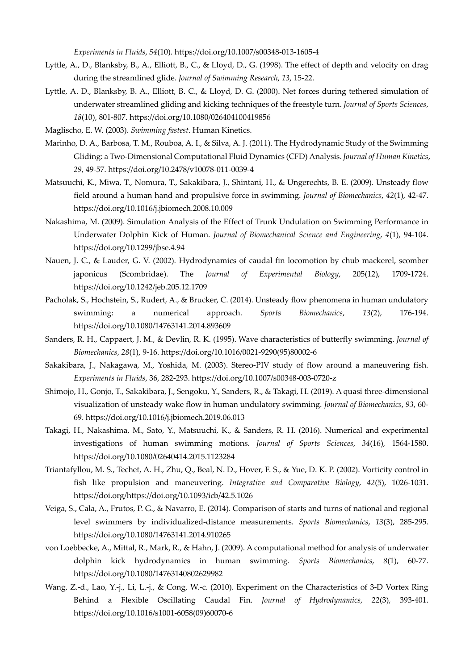*Experiments in Fluids*, *54*(10). https://doi.org/10.1007/s00348-013-1605-4

- Lyttle, A., D., Blanksby, B., A., Elliott, B., C., & Lloyd, D., G. (1998). The effect of depth and velocity on drag during the streamlined glide. *Journal of Swimming Research*, *13*, 15-22.
- Lyttle, A. D., Blanksby, B. A., Elliott, B. C., & Lloyd, D. G. (2000). Net forces during tethered simulation of underwater streamlined gliding and kicking techniques of the freestyle turn. *Journal of Sports Sciences*, *18*(10), 801-807. https://doi.org/10.1080/026404100419856
- Maglischo, E. W. (2003). *Swimming fastest*. Human Kinetics.
- Marinho, D. A., Barbosa, T. M., Rouboa, A. I., & Silva, A. J. (2011). The Hydrodynamic Study of the Swimming Gliding: a Two-Dimensional Computational Fluid Dynamics (CFD) Analysis. *Journal of Human Kinetics*, *29*, 49-57. https://doi.org/10.2478/v10078-011-0039-4
- Matsuuchi, K., Miwa, T., Nomura, T., Sakakibara, J., Shintani, H., & Ungerechts, B. E. (2009). Unsteady flow field around a human hand and propulsive force in swimming. *Journal of Biomechanics*, *42*(1), 42-47. https://doi.org/10.1016/j.jbiomech.2008.10.009
- Nakashima, M. (2009). Simulation Analysis of the Effect of Trunk Undulation on Swimming Performance in Underwater Dolphin Kick of Human. *Journal of Biomechanical Science and Engineering*, *4*(1), 94-104. https://doi.org/10.1299/jbse.4.94
- Nauen, J. C., & Lauder, G. V. (2002). Hydrodynamics of caudal fin locomotion by chub mackerel, scomber japonicus (Scombridae). The *Journal of Experimental Biology*, 205(12), 1709-1724. https://doi.org/10.1242/jeb.205.12.1709
- Pacholak, S., Hochstein, S., Rudert, A., & Brucker, C. (2014). Unsteady flow phenomena in human undulatory swimming: a numerical approach. *Sports Biomechanics*, *13*(2), 176-194. https://doi.org/10.1080/14763141.2014.893609
- Sanders, R. H., Cappaert, J. M., & Devlin, R. K. (1995). Wave characteristics of butterfly swimming. *Journal of Biomechanics*, *28*(1), 9-16. https://doi.org/10.1016/0021-9290(95)80002-6
- Sakakibara, J., Nakagawa, M., Yoshida, M. (2003). Stereo-PIV study of flow around a maneuvering fish*. Experiments in Fluids*, 36, 282-293. https://doi.org/10.1007/s00348-003-0720-z
- Shimojo, H., Gonjo, T., Sakakibara, J., Sengoku, Y., Sanders, R., & Takagi, H. (2019). A quasi three-dimensional visualization of unsteady wake flow in human undulatory swimming. *Journal of Biomechanics*, *93*, 60- 69. https://doi.org/10.1016/j.jbiomech.2019.06.013
- Takagi, H., Nakashima, M., Sato, Y., Matsuuchi, K., & Sanders, R. H. (2016). Numerical and experimental investigations of human swimming motions. *Journal of Sports Sciences*, *34*(16), 1564-1580. https://doi.org/10.1080/02640414.2015.1123284
- Triantafyllou, M. S., Techet, A. H., Zhu, Q., Beal, N. D., Hover, F. S., & Yue, D. K. P. (2002). Vorticity control in fish like propulsion and maneuvering. *Integrative and Comparative Biology*, *42*(5), 1026-1031. https://doi.org/https://doi.org/10.1093/icb/42.5.1026
- Veiga, S., Cala, A., Frutos, P. G., & Navarro, E. (2014). Comparison of starts and turns of national and regional level swimmers by individualized-distance measurements. *Sports Biomechanics*, *13*(3), 285-295. https://doi.org/10.1080/14763141.2014.910265
- von Loebbecke, A., Mittal, R., Mark, R., & Hahn, J. (2009). A computational method for analysis of underwater dolphin kick hydrodynamics in human swimming. *Sports Biomechanics*, *8*(1), 60-77. https://doi.org/10.1080/14763140802629982
- Wang, Z.-d., Lao, Y.-j., Li, L.-j., & Cong, W.-c. (2010). Experiment on the Characteristics of 3-D Vortex Ring Behind a Flexible Oscillating Caudal Fin. *Journal of Hydrodynamics*, *22*(3), 393-401. https://doi.org/10.1016/s1001-6058(09)60070-6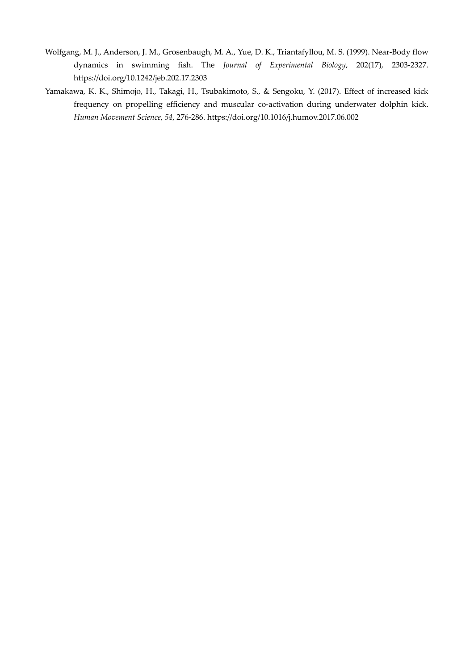- Wolfgang, M. J., Anderson, J. M., Grosenbaugh, M. A., Yue, D. K., Triantafyllou, M. S. (1999). Near-Body flow dynamics in swimming fish. The *Journal of Experimental Biology*, 202(17), 2303-2327. https://doi.org/10.1242/jeb.202.17.2303
- Yamakawa, K. K., Shimojo, H., Takagi, H., Tsubakimoto, S., & Sengoku, Y. (2017). Effect of increased kick frequency on propelling efficiency and muscular co-activation during underwater dolphin kick. *Human Movement Science*, *54*, 276-286. https://doi.org/10.1016/j.humov.2017.06.002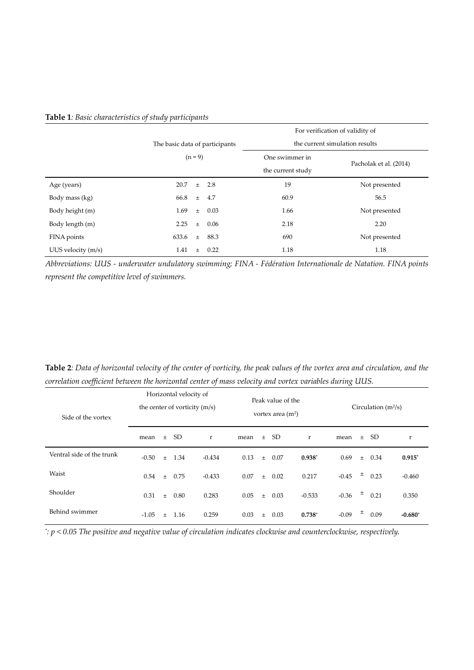|                    |                                |           |            | For verification of validity of     |                        |  |  |  |  |
|--------------------|--------------------------------|-----------|------------|-------------------------------------|------------------------|--|--|--|--|
|                    | The basic data of participants |           |            | the current simulation results      |                        |  |  |  |  |
|                    |                                | $(n = 9)$ |            | One swimmer in<br>the current study | Pacholak et al. (2014) |  |  |  |  |
| Age (years)        | 20.7                           | $\pm$     | 2.8        | 19                                  | Not presented          |  |  |  |  |
| Body mass (kg)     | 66.8                           | $\pm$     | 4.7        | 60.9                                | 56.5                   |  |  |  |  |
| Body height (m)    | 1.69                           |           | $\pm$ 0.03 | 1.66                                | Not presented          |  |  |  |  |
| Body length (m)    | 2.25                           | $\pm$     | 0.06       | 2.18                                | 2.20                   |  |  |  |  |
| FINA points        | 633.6                          | $\pm$     | 88.3       | 690                                 | Not presented          |  |  |  |  |
| UUS velocity (m/s) | 1.41                           | $\pm$     | 0.22       | 1.18                                | 1.18                   |  |  |  |  |

## **Table 1***: Basic characteristics of study participants*

*Abbreviations: UUS - underwater undulatory swimming; FINA - Fédération Internationale de Natation. FINA points represent the competitive level of swimmers.* 

| <b>Table 2</b> : Data of horizontal velocity of the center of vorticity, the peak values of the vortex area and circulation, and the |  |
|--------------------------------------------------------------------------------------------------------------------------------------|--|
| correlation coefficient between the horizontal center of mass velocity and vortex variables during UUS.                              |  |

| Side of the vortex        |         | Horizontal velocity of<br>the center of vorticity (m/s) |                 |          |      | Peak value of the<br>vortex area $(m2)$ |      |          |         | Circulation $(m^2/s)$ |      |           |  |
|---------------------------|---------|---------------------------------------------------------|-----------------|----------|------|-----------------------------------------|------|----------|---------|-----------------------|------|-----------|--|
|                           | mean    | $\pm$                                                   | SD <sub>1</sub> | r        | mean | $\pm$                                   | SD.  | r        | mean    | $\pm$                 | SD.  | r         |  |
| Ventral side of the trunk | $-0.50$ | $\pm$                                                   | 1.34            | $-0.434$ | 0.13 | $\pm$                                   | 0.07 | $0.938*$ | 0.69    | $\pm$                 | 0.34 | $0.915*$  |  |
| Waist                     | 0.54    | $\pm$                                                   | 0.75            | $-0.433$ | 0.07 | $\pm$                                   | 0.02 | 0.217    | $-0.45$ | ±.                    | 0.23 | $-0.460$  |  |
| Shoulder                  | 0.31    | $\pm$                                                   | 0.80            | 0.283    | 0.05 | $\pm$                                   | 0.03 | $-0.533$ | $-0.36$ | $\pm$                 | 0.21 | 0.350     |  |
| Behind swimmer            | $-1.05$ | $\pm$                                                   | 1.16            | 0.259    | 0.03 | $\pm$                                   | 0.03 | $0.738*$ | $-0.09$ | 土                     | 0.09 | $-0.680*$ |  |

*\* : p < 0.05 The positive and negative value of circulation indicates clockwise and counterclockwise, respectively.*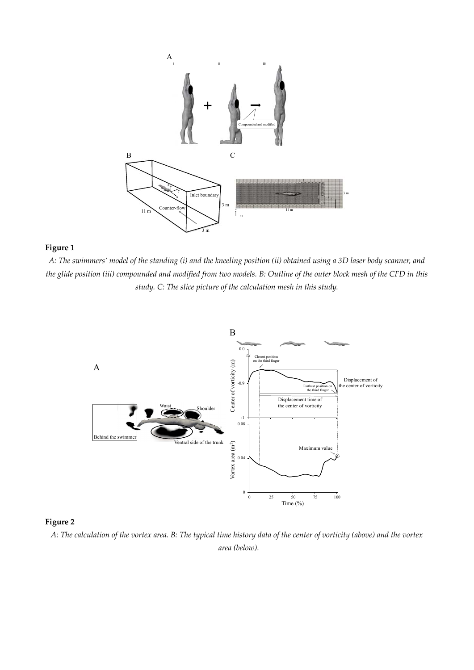

### **Figure 1**

*A: The swimmers' model of the standing (i) and the kneeling position (ii) obtained using a 3D laser body scanner, and the glide position (iii) compounded and modified from two models. B: Outline of the outer block mesh of the CFD in this study. C: The slice picture of the calculation mesh in this study.* 



# **Figure 2**

*A: The calculation of the vortex area. B: The typical time history data of the center of vorticity (above) and the vortex area (below).*